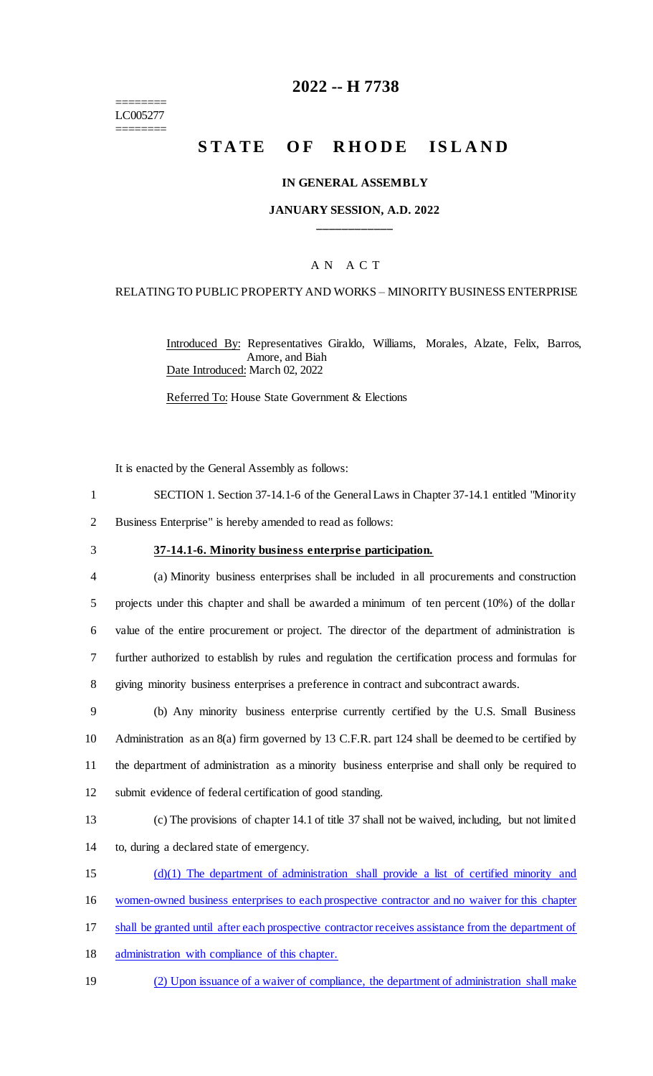======== LC005277 ========

# **2022 -- H 7738**

# **STATE OF RHODE ISLAND**

#### **IN GENERAL ASSEMBLY**

### **JANUARY SESSION, A.D. 2022 \_\_\_\_\_\_\_\_\_\_\_\_**

### A N A C T

#### RELATING TO PUBLIC PROPERTY AND WORKS – MINORITY BUSINESS ENTERPRISE

Introduced By: Representatives Giraldo, Williams, Morales, Alzate, Felix, Barros, Amore, and Biah Date Introduced: March 02, 2022

Referred To: House State Government & Elections

It is enacted by the General Assembly as follows:

- 1 SECTION 1. Section 37-14.1-6 of the General Laws in Chapter 37-14.1 entitled "Minority
- 2 Business Enterprise" is hereby amended to read as follows:
- 

#### 3 **37-14.1-6. Minority business enterprise participation.**

 (a) Minority business enterprises shall be included in all procurements and construction projects under this chapter and shall be awarded a minimum of ten percent (10%) of the dollar value of the entire procurement or project. The director of the department of administration is further authorized to establish by rules and regulation the certification process and formulas for giving minority business enterprises a preference in contract and subcontract awards.

 (b) Any minority business enterprise currently certified by the U.S. Small Business Administration as an 8(a) firm governed by 13 C.F.R. part 124 shall be deemed to be certified by the department of administration as a minority business enterprise and shall only be required to submit evidence of federal certification of good standing.

13 (c) The provisions of chapter 14.1 of title 37 shall not be waived, including, but not limited 14 to, during a declared state of emergency.

15 (d)(1) The department of administration shall provide a list of certified minority and

- 16 women-owned business enterprises to each prospective contractor and no waiver for this chapter
- 17 shall be granted until after each prospective contractor receives assistance from the department of
- 18 administration with compliance of this chapter.
- 19 (2) Upon issuance of a waiver of compliance, the department of administration shall make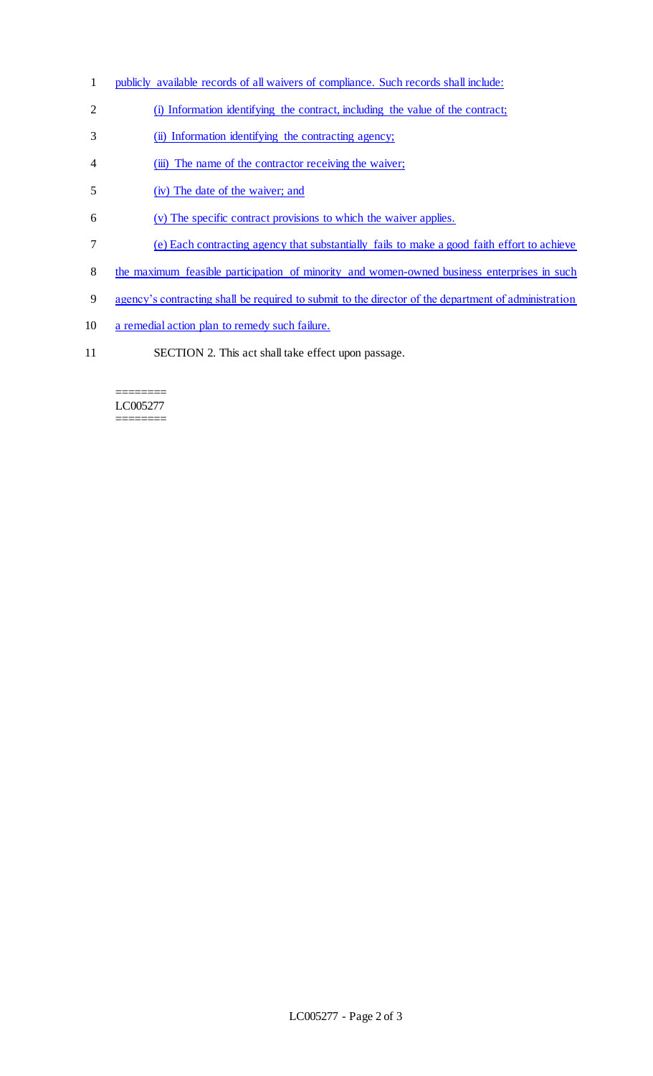- 1 publicly available records of all waivers of compliance. Such records shall include:
- 2 (i) Information identifying the contract, including the value of the contract;
- 3 (ii) Information identifying the contracting agency;
- 4 (iii) The name of the contractor receiving the waiver;
- 5 (iv) The date of the waiver; and
- 6 (v) The specific contract provisions to which the waiver applies.
- 7 (e) Each contracting agency that substantially fails to make a good faith effort to achieve
- 8 the maximum feasible participation of minority and women-owned business enterprises in such
- 9 agency's contracting shall be required to submit to the director of the department of administration
- 10 a remedial action plan to remedy such failure.
- 11 SECTION 2. This act shall take effect upon passage.

#### ======== LC005277 ========